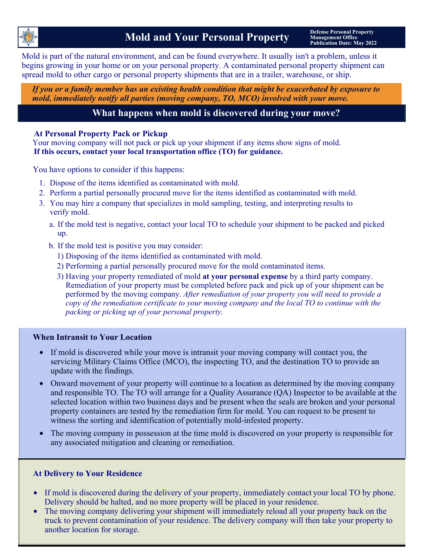

Mold is part of the natural environment, and can be found everywhere. It usually isn't a problem, unless it begins growing in your home or on your personal property. A contaminated personal property shipment can spread mold to other cargo or personal property shipments that are in a trailer, warehouse, or ship.

*If you or a family member has an existing health condition that might be exacerbated by exposure to mold, immediately notify all parties (moving company, TO, MCO) involved with your move.*

# **What happens when mold is discovered during your move?**

### **At Personal Property Pack or Pickup**

Your moving company will not pack or pick up your shipment if any items show signs of mold. **If this occurs, contact your local transportation office (TO) for guidance.**

You have options to consider if this happens:

- 1. Dispose of the items identified as contaminated with mold.
- 2. Perform a partial personally procured move for the items identified as contaminated with mold.
- 3. You may hire a company that specializes in mold sampling, testing, and interpreting results to verify mold.
	- a. If the mold test is negative, contact your local TO to schedule your shipment to be packed and picked up.
	- b. If the mold test is positive you may consider:
		- 1) Disposing of the items identified as contaminated with mold.
		- 2) Performing a partial personally procured move for the mold contaminated items.
		- 3) Having your property remediated of mold **at your personal expense** by a third party company. Remediation of your property must be completed before pack and pick up of your shipment can be performed by the moving company. *After remediation of your property you will need to provide a copy of the remediation certificate to your moving company and the local TO to continue with the packing or picking up of your personal property.*

#### **When Intransit to Your Location**

- If mold is discovered while your move is intransit your moving company will contact you, the servicing Military Claims Office (MCO), the inspecting TO, and the destination TO to provide an update with the findings.
- Onward movement of your property will continue to a location as determined by the moving company and responsible TO. The TO will arrange for a Quality Assurance (QA) Inspector to be available at the selected location within two business days and be present when the seals are broken and your personal property containers are tested by the remediation firm for mold. You can request to be present to witness the sorting and identification of potentially mold-infested property.
- The moving company in possession at the time mold is discovered on your property is responsible for any associated mitigation and cleaning or remediation.

### **At Delivery to Your Residence**

- If mold is discovered during the delivery of your property, immediately contact your local TO by phone. Delivery should be halted, and no more property will be placed in your residence.
- The moving company delivering your shipment will immediately reload all your property back on the truck to prevent contamination of your residence. The delivery company will then take your property to another location for storage.